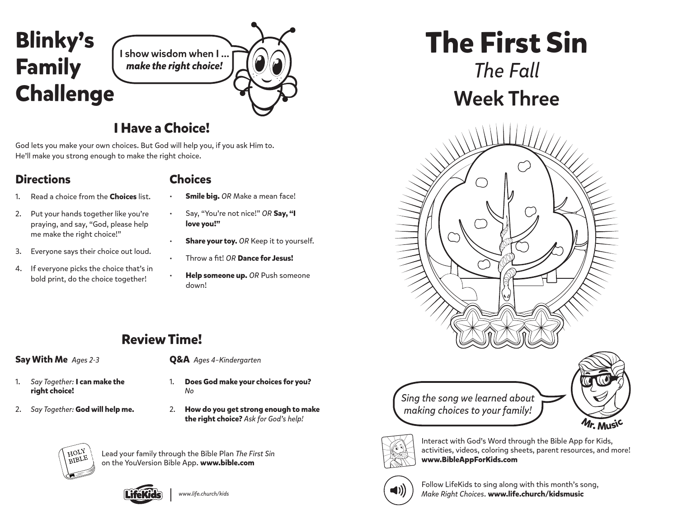

I show wisdom when I … *make the right choice!*

## **I Have a Choice!**

God lets you make your own choices. But God will help you, if you ask Him to. He'll make you strong enough to make the right choice.

### **Directions**

- 1. Read a choice from the **Choices** list.
- 2. Put your hands together like you're praying, and say, "God, please help me make the right choice!"
- 3. Everyone says their choice out loud.
- 4. If everyone picks the choice that's in bold print, do the choice together!

#### **Choices**

- **Smile big.** *OR* Make a mean face!
- Say, "You're not nice!" *OR* **Say, "I love you!"**
- **Share your toy.** OR Keep it to yourself.
- Throw a fit! *OR* **Dance for Jesus!**
- **Help someone up.** *OR* Push someone down!

## **Review Time!**

#### **Say With Me** *Ages 2-3*

- 1. *Say Together:* **I can make the right choice!**
- 2. *Say Together:* **God will help me.**
- **Q&A** *Ages 4–Kindergarten*
- 1. **Does God make your choices for you?** *No*
- 2. **How do you get strong enough to make the right choice?** *Ask for God's help!*



Lead your family through the Bible Plan *The First Sin*  on the YouVersion Bible App. **www.bible.com**



**The First Sin** *The Fall*

# Week Three



*Sing the song we learned about making choices to your family!*





Interact with God's Word through the Bible App for Kids, activities, videos, coloring sheets, parent resources, and more! **www.BibleAppForKids.com**



Follow LifeKids to sing along with this month's song, *Make Right Choices*. **www.life.church/kidsmusic**